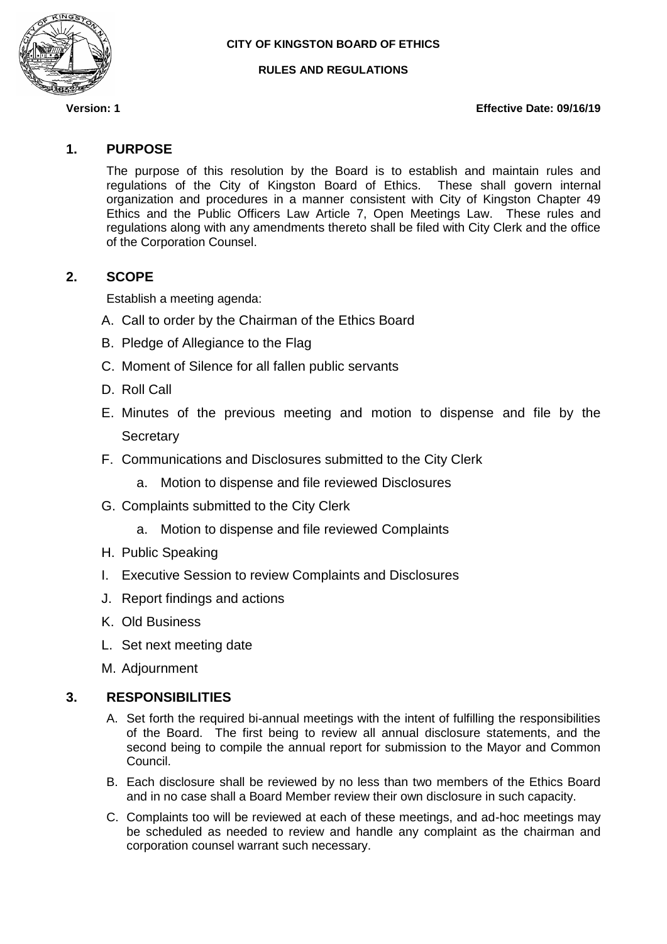

#### **RULES AND REGULATIONS**

#### **Version: 1 Effective Date: 09/16/19**

## **1. PURPOSE**

The purpose of this resolution by the Board is to establish and maintain rules and regulations of the City of Kingston Board of Ethics. These shall govern internal organization and procedures in a manner consistent with City of Kingston Chapter 49 Ethics and the Public Officers Law Article 7, Open Meetings Law. These rules and regulations along with any amendments thereto shall be filed with City Clerk and the office of the Corporation Counsel.

## **2. SCOPE**

Establish a meeting agenda:

- A. Call to order by the Chairman of the Ethics Board
- B. Pledge of Allegiance to the Flag
- C. Moment of Silence for all fallen public servants
- D. Roll Call
- E. Minutes of the previous meeting and motion to dispense and file by the **Secretary**
- F. Communications and Disclosures submitted to the City Clerk
	- a. Motion to dispense and file reviewed Disclosures
- G. Complaints submitted to the City Clerk
	- a. Motion to dispense and file reviewed Complaints
- H. Public Speaking
- I. Executive Session to review Complaints and Disclosures
- J. Report findings and actions
- K. Old Business
- L. Set next meeting date
- M. Adjournment

#### **3. RESPONSIBILITIES**

- A. Set forth the required bi-annual meetings with the intent of fulfilling the responsibilities of the Board. The first being to review all annual disclosure statements, and the second being to compile the annual report for submission to the Mayor and Common Council.
- B. Each disclosure shall be reviewed by no less than two members of the Ethics Board and in no case shall a Board Member review their own disclosure in such capacity.
- C. Complaints too will be reviewed at each of these meetings, and ad-hoc meetings may be scheduled as needed to review and handle any complaint as the chairman and corporation counsel warrant such necessary.